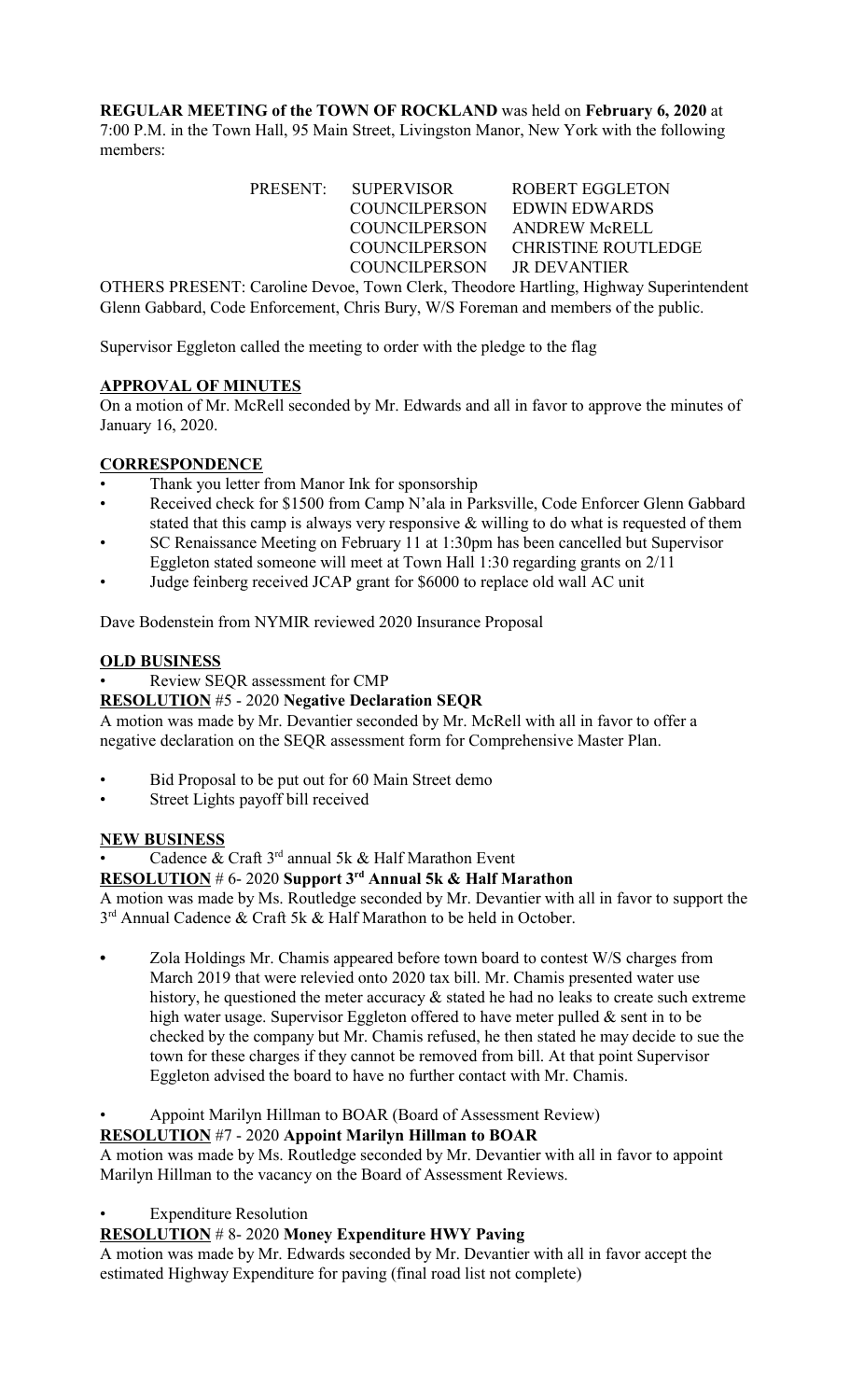REGULAR MEETING of the TOWN OF ROCKLAND was held on February 6, 2020 at 7:00 P.M. in the Town Hall, 95 Main Street, Livingston Manor, New York with the following members:

> PRESENT: SUPERVISOR ROBERT EGGLETON COUNCILPERSON EDWIN EDWARDS COUNCILPERSON ANDREW McRELL COUNCILPERSON CHRISTINE ROUTLEDGE COUNCILPERSON JR DEVANTIER

OTHERS PRESENT: Caroline Devoe, Town Clerk, Theodore Hartling, Highway Superintendent Glenn Gabbard, Code Enforcement, Chris Bury, W/S Foreman and members of the public.

Supervisor Eggleton called the meeting to order with the pledge to the flag

## APPROVAL OF MINUTES

On a motion of Mr. McRell seconded by Mr. Edwards and all in favor to approve the minutes of January 16, 2020.

# **CORRESPONDENCE**

- Thank you letter from Manor Ink for sponsorship
- Received check for \$1500 from Camp N'ala in Parksville, Code Enforcer Glenn Gabbard stated that this camp is always very responsive  $\&$  willing to do what is requested of them
- SC Renaissance Meeting on February 11 at 1:30pm has been cancelled but Supervisor Eggleton stated someone will meet at Town Hall 1:30 regarding grants on 2/11
- Judge feinberg received JCAP grant for \$6000 to replace old wall AC unit

Dave Bodenstein from NYMIR reviewed 2020 Insurance Proposal

## OLD BUSINESS

• Review SEQR assessment for CMP

### RESOLUTION #5 - 2020 Negative Declaration SEQR

A motion was made by Mr. Devantier seconded by Mr. McRell with all in favor to offer a negative declaration on the SEQR assessment form for Comprehensive Master Plan.

- Bid Proposal to be put out for 60 Main Street demo
- Street Lights payoff bill received

#### NEW BUSINESS

Cadence & Craft  $3^{rd}$  annual 5k & Half Marathon Event

#### RESOLUTION # 6- 2020 Support 3rd Annual 5k & Half Marathon

A motion was made by Ms. Routledge seconded by Mr. Devantier with all in favor to support the 3<sup>rd</sup> Annual Cadence & Craft 5k & Half Marathon to be held in October.

- Zola Holdings Mr. Chamis appeared before town board to contest W/S charges from March 2019 that were relevied onto 2020 tax bill. Mr. Chamis presented water use history, he questioned the meter accuracy & stated he had no leaks to create such extreme high water usage. Supervisor Eggleton offered to have meter pulled  $\&$  sent in to be checked by the company but Mr. Chamis refused, he then stated he may decide to sue the town for these charges if they cannot be removed from bill. At that point Supervisor Eggleton advised the board to have no further contact with Mr. Chamis.
- Appoint Marilyn Hillman to BOAR (Board of Assessment Review)

## RESOLUTION #7 - 2020 Appoint Marilyn Hillman to BOAR

A motion was made by Ms. Routledge seconded by Mr. Devantier with all in favor to appoint Marilyn Hillman to the vacancy on the Board of Assessment Reviews.

#### **Expenditure Resolution**

#### RESOLUTION # 8- 2020 Money Expenditure HWY Paving

A motion was made by Mr. Edwards seconded by Mr. Devantier with all in favor accept the estimated Highway Expenditure for paving (final road list not complete)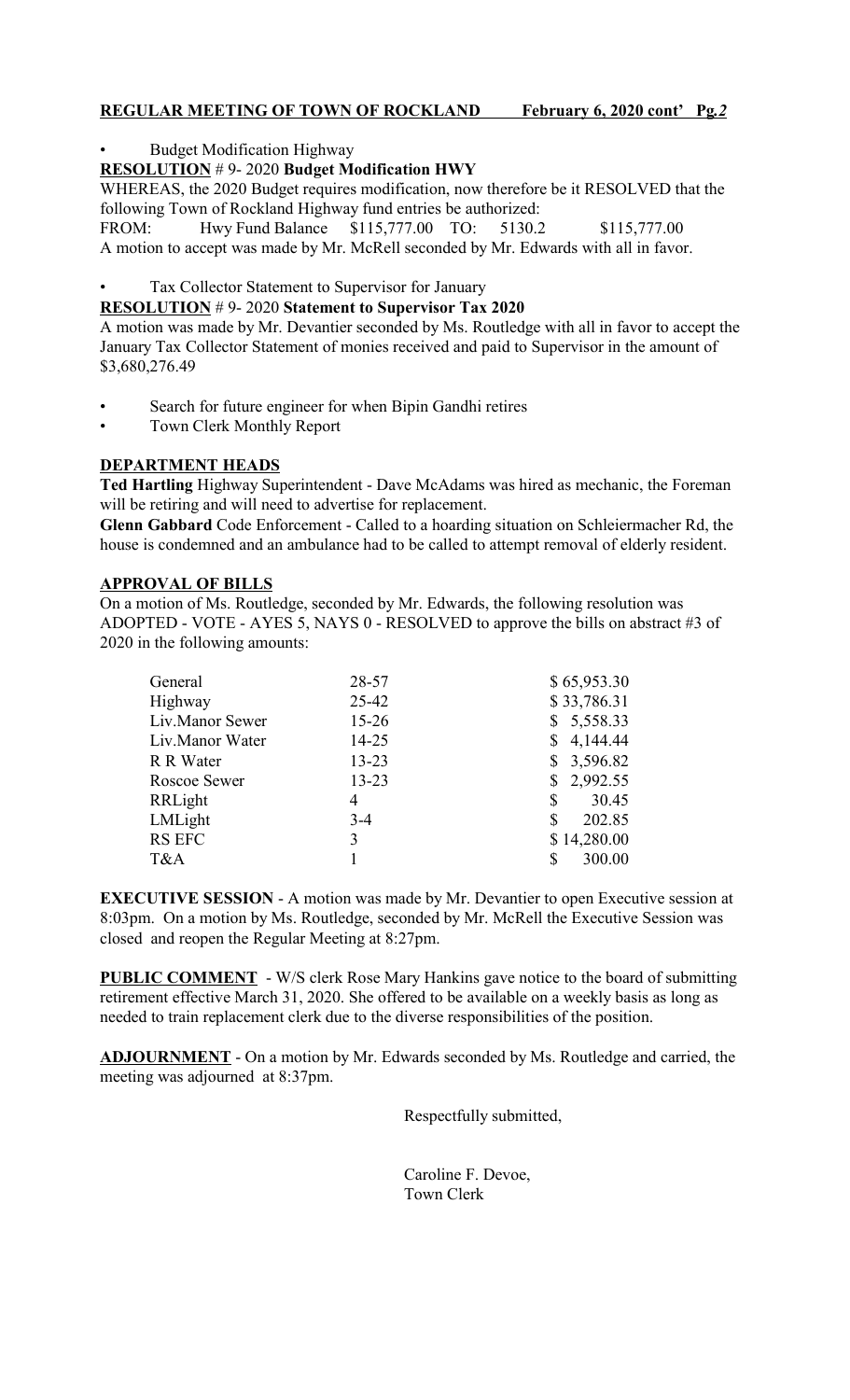## REGULAR MEETING OF TOWN OF ROCKLAND February 6, 2020 cont' Pg.2

## • Budget Modification Highway

## RESOLUTION # 9- 2020 Budget Modification HWY

WHEREAS, the 2020 Budget requires modification, now therefore be it RESOLVED that the following Town of Rockland Highway fund entries be authorized:

FROM: Hwy Fund Balance \$115,777.00 TO: 5130.2 \$115,777.00 A motion to accept was made by Mr. McRell seconded by Mr. Edwards with all in favor.

# Tax Collector Statement to Supervisor for January

### RESOLUTION # 9- 2020 Statement to Supervisor Tax 2020

A motion was made by Mr. Devantier seconded by Ms. Routledge with all in favor to accept the January Tax Collector Statement of monies received and paid to Supervisor in the amount of \$3,680,276.49

- Search for future engineer for when Bipin Gandhi retires
- Town Clerk Monthly Report

#### DEPARTMENT HEADS

Ted Hartling Highway Superintendent - Dave McAdams was hired as mechanic, the Foreman will be retiring and will need to advertise for replacement.

Glenn Gabbard Code Enforcement - Called to a hoarding situation on Schleiermacher Rd, the house is condemned and an ambulance had to be called to attempt removal of elderly resident.

#### APPROVAL OF BILLS

On a motion of Ms. Routledge, seconded by Mr. Edwards, the following resolution was ADOPTED - VOTE - AYES 5, NAYS 0 - RESOLVED to approve the bills on abstract #3 of 2020 in the following amounts:

| General         | 28-57     | \$65,953.30 |
|-----------------|-----------|-------------|
| Highway         | 25-42     | \$33,786.31 |
| Liv.Manor Sewer | $15 - 26$ | \$5,558.33  |
| Liv.Manor Water | $14 - 25$ | \$4,144.44  |
| R R Water       | $13 - 23$ | \$3,596.82  |
| Roscoe Sewer    | $13 - 23$ | \$2,992.55  |
| RRLight         | 4         | 30.45<br>S  |
| LMLight         | $3-4$     | 202.85      |
| RS EFC          | 3         | \$14,280.00 |
| T&A             |           | 300.00      |
|                 |           |             |

EXECUTIVE SESSION - A motion was made by Mr. Devantier to open Executive session at 8:03pm. On a motion by Ms. Routledge, seconded by Mr. McRell the Executive Session was closed and reopen the Regular Meeting at 8:27pm.

PUBLIC COMMENT - W/S clerk Rose Mary Hankins gave notice to the board of submitting retirement effective March 31, 2020. She offered to be available on a weekly basis as long as needed to train replacement clerk due to the diverse responsibilities of the position.

ADJOURNMENT - On a motion by Mr. Edwards seconded by Ms. Routledge and carried, the meeting was adjourned at 8:37pm.

Respectfully submitted,

 Caroline F. Devoe, Town Clerk